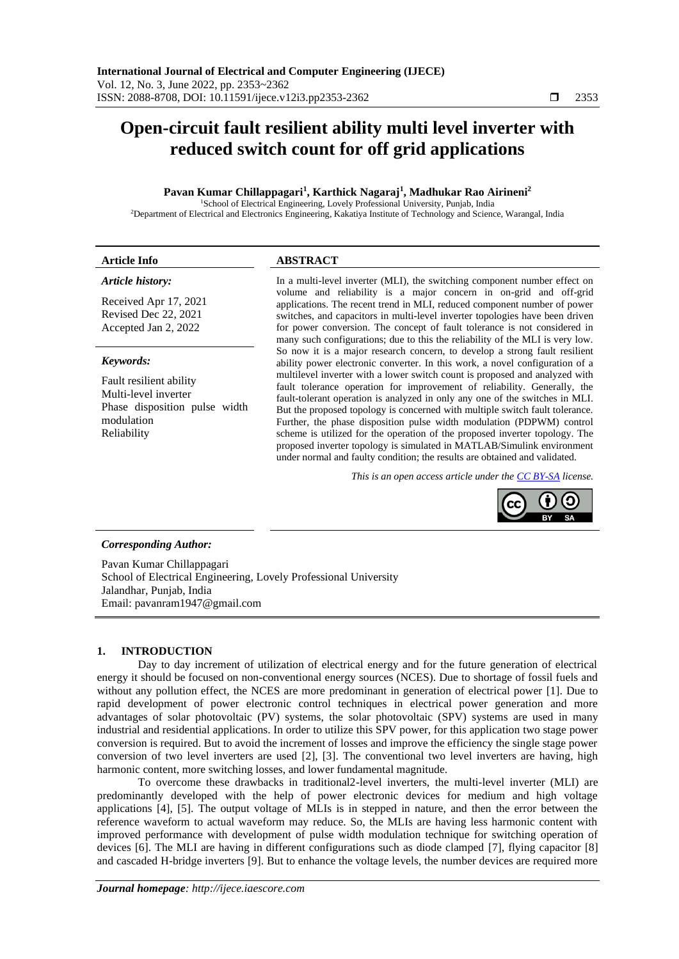# **Open-circuit fault resilient ability multi level inverter with reduced switch count for off grid applications**

#### **Pavan Kumar Chillappagari<sup>1</sup> , Karthick Nagaraj<sup>1</sup> , Madhukar Rao Airineni<sup>2</sup>**

<sup>1</sup>School of Electrical Engineering, Lovely Professional University, Punjab, India <sup>2</sup>Department of Electrical and Electronics Engineering, Kakatiya Institute of Technology and Science, Warangal, India

| <b>Article Info</b>                                                              | <b>ABSTRACT</b>                                                                                                                                                                                                                         |
|----------------------------------------------------------------------------------|-----------------------------------------------------------------------------------------------------------------------------------------------------------------------------------------------------------------------------------------|
| Article history:                                                                 | In a multi-level inverter (MLI), the switching component number effect on                                                                                                                                                               |
| Received Apr 17, 2021                                                            | volume and reliability is a major concern in on-grid and off-grid<br>applications. The recent trend in MLI, reduced component number of power                                                                                           |
| Revised Dec 22, 2021                                                             | switches, and capacitors in multi-level inverter topologies have been driven                                                                                                                                                            |
| Accepted Jan 2, 2022                                                             | for power conversion. The concept of fault tolerance is not considered in<br>many such configurations; due to this the reliability of the MLI is very low.                                                                              |
| Keywords:                                                                        | So now it is a major research concern, to develop a strong fault resilient<br>ability power electronic converter. In this work, a novel configuration of a                                                                              |
| Fault resilient ability<br>Multi-level inverter<br>Phase disposition pulse width | multilevel inverter with a lower switch count is proposed and analyzed with<br>fault tolerance operation for improvement of reliability. Generally, the<br>fault-tolerant operation is analyzed in only any one of the switches in MLI. |
| modulation                                                                       | But the proposed topology is concerned with multiple switch fault tolerance.<br>Further, the phase disposition pulse width modulation (PDPWM) control                                                                                   |
| Reliability                                                                      | scheme is utilized for the operation of the proposed inverter topology. The<br>proposed inverter topology is simulated in MATLAB/Simulink environment                                                                                   |

*This is an open access article under the [CC BY-SA](https://creativecommons.org/licenses/by-sa/4.0/) license.*

under normal and faulty condition; the results are obtained and validated.



# *Corresponding Author:*

Pavan Kumar Chillappagari School of Electrical Engineering, Lovely Professional University Jalandhar, Punjab, India Email: pavanram1947@gmail.com

## **1. INTRODUCTION**

Day to day increment of utilization of electrical energy and for the future generation of electrical energy it should be focused on non-conventional energy sources (NCES). Due to shortage of fossil fuels and without any pollution effect, the NCES are more predominant in generation of electrical power [1]. Due to rapid development of power electronic control techniques in electrical power generation and more advantages of solar photovoltaic (PV) systems, the solar photovoltaic (SPV) systems are used in many industrial and residential applications. In order to utilize this SPV power, for this application two stage power conversion is required. But to avoid the increment of losses and improve the efficiency the single stage power conversion of two level inverters are used [2], [3]. The conventional two level inverters are having, high harmonic content, more switching losses, and lower fundamental magnitude.

To overcome these drawbacks in traditional2-level inverters, the multi-level inverter (MLI) are predominantly developed with the help of power electronic devices for medium and high voltage applications [4], [5]. The output voltage of MLIs is in stepped in nature, and then the error between the reference waveform to actual waveform may reduce. So, the MLIs are having less harmonic content with improved performance with development of pulse width modulation technique for switching operation of devices [6]. The MLI are having in different configurations such as diode clamped [7], flying capacitor [8] and cascaded H-bridge inverters [9]. But to enhance the voltage levels, the number devices are required more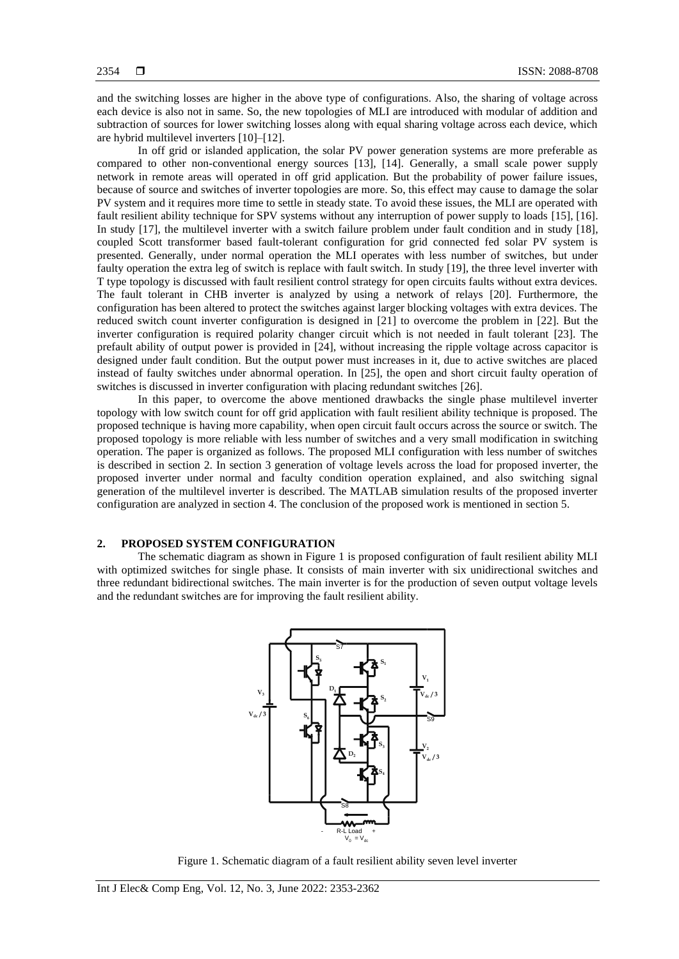and the switching losses are higher in the above type of configurations. Also, the sharing of voltage across each device is also not in same. So, the new topologies of MLI are introduced with modular of addition and subtraction of sources for lower switching losses along with equal sharing voltage across each device, which are hybrid multilevel inverters [10]–[12].

In off grid or islanded application, the solar PV power generation systems are more preferable as compared to other non-conventional energy sources [13], [14]. Generally, a small scale power supply network in remote areas will operated in off grid application. But the probability of power failure issues, because of source and switches of inverter topologies are more. So, this effect may cause to damage the solar PV system and it requires more time to settle in steady state. To avoid these issues, the MLI are operated with fault resilient ability technique for SPV systems without any interruption of power supply to loads [15], [16]. In study [17], the multilevel inverter with a switch failure problem under fault condition and in study [18], coupled Scott transformer based fault-tolerant configuration for grid connected fed solar PV system is presented. Generally, under normal operation the MLI operates with less number of switches, but under faulty operation the extra leg of switch is replace with fault switch. In study [19], the three level inverter with T type topology is discussed with fault resilient control strategy for open circuits faults without extra devices. The fault tolerant in CHB inverter is analyzed by using a network of relays [20]. Furthermore, the configuration has been altered to protect the switches against larger blocking voltages with extra devices. The reduced switch count inverter configuration is designed in [21] to overcome the problem in [22]. But the inverter configuration is required polarity changer circuit which is not needed in fault tolerant [23]. The prefault ability of output power is provided in [24], without increasing the ripple voltage across capacitor is designed under fault condition. But the output power must increases in it, due to active switches are placed instead of faulty switches under abnormal operation. In [25], the open and short circuit faulty operation of switches is discussed in inverter configuration with placing redundant switches [26].

In this paper, to overcome the above mentioned drawbacks the single phase multilevel inverter topology with low switch count for off grid application with fault resilient ability technique is proposed. The proposed technique is having more capability, when open circuit fault occurs across the source or switch. The proposed topology is more reliable with less number of switches and a very small modification in switching operation. The paper is organized as follows. The proposed MLI configuration with less number of switches is described in section 2. In section 3 generation of voltage levels across the load for proposed inverter, the proposed inverter under normal and faculty condition operation explained, and also switching signal generation of the multilevel inverter is described. The MATLAB simulation results of the proposed inverter configuration are analyzed in section 4. The conclusion of the proposed work is mentioned in section 5.

#### **2. PROPOSED SYSTEM CONFIGURATION**

The schematic diagram as shown in Figure 1 is proposed configuration of fault resilient ability MLI with optimized switches for single phase. It consists of main inverter with six unidirectional switches and three redundant bidirectional switches. The main inverter is for the production of seven output voltage levels and the redundant switches are for improving the fault resilient ability.



Figure 1. Schematic diagram of a fault resilient ability seven level inverter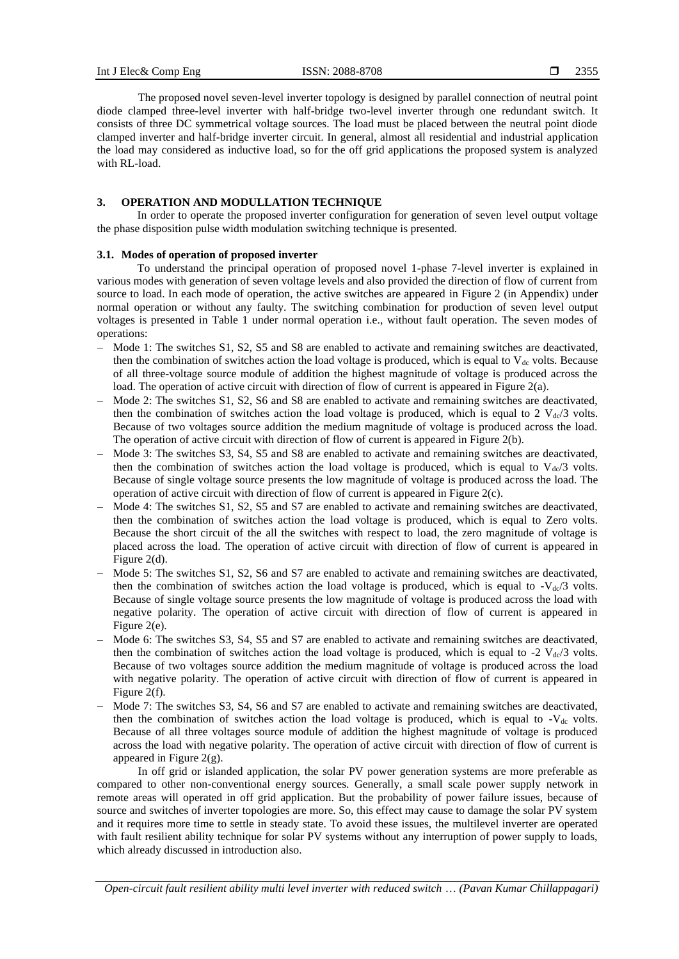The proposed novel seven-level inverter topology is designed by parallel connection of neutral point diode clamped three-level inverter with half-bridge two-level inverter through one redundant switch. It consists of three DC symmetrical voltage sources. The load must be placed between the neutral point diode clamped inverter and half-bridge inverter circuit. In general, almost all residential and industrial application the load may considered as inductive load, so for the off grid applications the proposed system is analyzed with RL-load.

#### **3. OPERATION AND MODULLATION TECHNIQUE**

In order to operate the proposed inverter configuration for generation of seven level output voltage the phase disposition pulse width modulation switching technique is presented.

#### **3.1. Modes of operation of proposed inverter**

To understand the principal operation of proposed novel 1-phase 7-level inverter is explained in various modes with generation of seven voltage levels and also provided the direction of flow of current from source to load. In each mode of operation, the active switches are appeared in Figure 2 (in Appendix) under normal operation or without any faulty. The switching combination for production of seven level output voltages is presented in Table 1 under normal operation i.e., without fault operation. The seven modes of operations:

- − Mode 1: The switches S1, S2, S5 and S8 are enabled to activate and remaining switches are deactivated, then the combination of switches action the load voltage is produced, which is equal to  $V_{dc}$  volts. Because of all three-voltage source module of addition the highest magnitude of voltage is produced across the load. The operation of active circuit with direction of flow of current is appeared in Figure 2(a).
- − Mode 2: The switches S1, S2, S6 and S8 are enabled to activate and remaining switches are deactivated, then the combination of switches action the load voltage is produced, which is equal to 2  $V_{dc}/3$  volts. Because of two voltages source addition the medium magnitude of voltage is produced across the load. The operation of active circuit with direction of flow of current is appeared in Figure 2(b).
- − Mode 3: The switches S3, S4, S5 and S8 are enabled to activate and remaining switches are deactivated, then the combination of switches action the load voltage is produced, which is equal to  $V_{dc}/3$  volts. Because of single voltage source presents the low magnitude of voltage is produced across the load. The operation of active circuit with direction of flow of current is appeared in Figure 2(c).
- Mode 4: The switches S1, S2, S5 and S7 are enabled to activate and remaining switches are deactivated, then the combination of switches action the load voltage is produced, which is equal to Zero volts. Because the short circuit of the all the switches with respect to load, the zero magnitude of voltage is placed across the load. The operation of active circuit with direction of flow of current is appeared in Figure 2(d).
- − Mode 5: The switches S1, S2, S6 and S7 are enabled to activate and remaining switches are deactivated, then the combination of switches action the load voltage is produced, which is equal to  $-V_{dc}/3$  volts. Because of single voltage source presents the low magnitude of voltage is produced across the load with negative polarity. The operation of active circuit with direction of flow of current is appeared in Figure 2(e).
- Mode 6: The switches S3, S4, S5 and S7 are enabled to activate and remaining switches are deactivated, then the combination of switches action the load voltage is produced, which is equal to -2  $V_{\rm dc}/3$  volts. Because of two voltages source addition the medium magnitude of voltage is produced across the load with negative polarity. The operation of active circuit with direction of flow of current is appeared in Figure 2(f).
- Mode 7: The switches S3, S4, S6 and S7 are enabled to activate and remaining switches are deactivated, then the combination of switches action the load voltage is produced, which is equal to  $-V_{dc}$  volts. Because of all three voltages source module of addition the highest magnitude of voltage is produced across the load with negative polarity. The operation of active circuit with direction of flow of current is appeared in Figure 2(g).

In off grid or islanded application, the solar PV power generation systems are more preferable as compared to other non-conventional energy sources. Generally, a small scale power supply network in remote areas will operated in off grid application. But the probability of power failure issues, because of source and switches of inverter topologies are more. So, this effect may cause to damage the solar PV system and it requires more time to settle in steady state. To avoid these issues, the multilevel inverter are operated with fault resilient ability technique for solar PV systems without any interruption of power supply to loads, which already discussed in introduction also.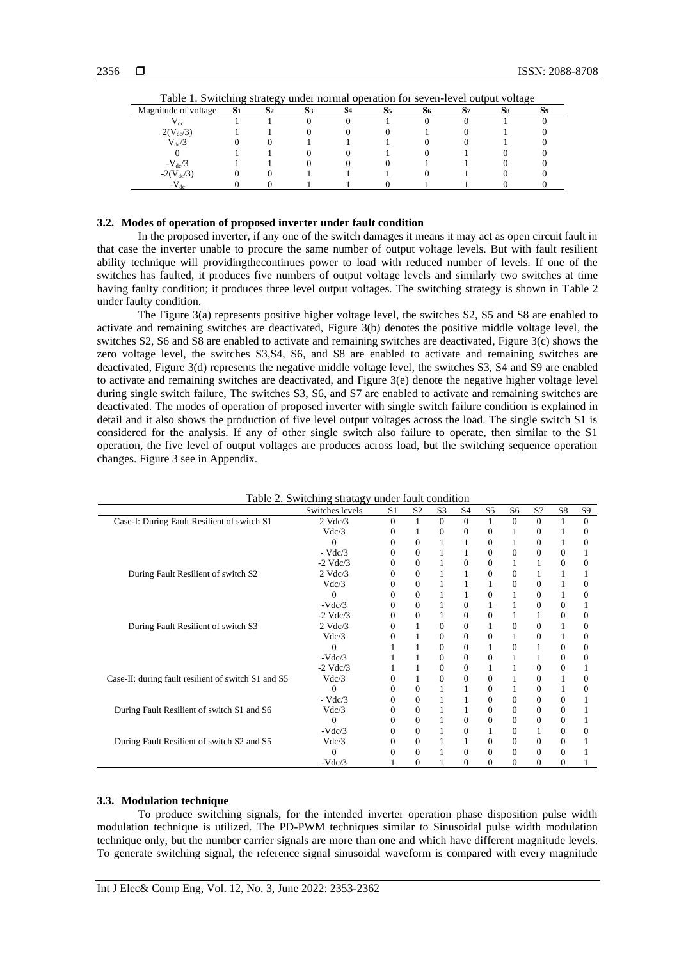| Table 1. Switching strategy under normal operation for seven-level output voltage |                |    |  |    |    |    |  |  |  |
|-----------------------------------------------------------------------------------|----------------|----|--|----|----|----|--|--|--|
| Magnitude of voltage                                                              | S <sub>1</sub> | S2 |  | S4 | S5 | 56 |  |  |  |
| $^{\prime}$ dc.                                                                   |                |    |  |    |    |    |  |  |  |
| $2(V_{dc}/3)$                                                                     |                |    |  |    |    |    |  |  |  |
| $\rm V_{dc}/3$                                                                    |                |    |  |    |    |    |  |  |  |
|                                                                                   |                |    |  |    |    |    |  |  |  |
| $-V_{dc}/3$                                                                       |                |    |  |    |    |    |  |  |  |
| $-2(V_{dc}/3)$                                                                    |                |    |  |    |    |    |  |  |  |
| $-V_{\text{dc}}$                                                                  |                |    |  |    |    |    |  |  |  |

| Table 1. Switching strategy under normal operation for seven-level output voltage |
|-----------------------------------------------------------------------------------|
|-----------------------------------------------------------------------------------|

#### **3.2. Modes of operation of proposed inverter under fault condition**

In the proposed inverter, if any one of the switch damages it means it may act as open circuit fault in that case the inverter unable to procure the same number of output voltage levels. But with fault resilient ability technique will providingthecontinues power to load with reduced number of levels. If one of the switches has faulted, it produces five numbers of output voltage levels and similarly two switches at time having faulty condition; it produces three level output voltages. The switching strategy is shown in Table 2 under faulty condition.

The Figure 3(a) represents positive higher voltage level, the switches S2, S5 and S8 are enabled to activate and remaining switches are deactivated, Figure 3(b) denotes the positive middle voltage level, the switches S2, S6 and S8 are enabled to activate and remaining switches are deactivated, Figure 3(c) shows the zero voltage level, the switches S3,S4, S6, and S8 are enabled to activate and remaining switches are deactivated, Figure 3(d) represents the negative middle voltage level, the switches S3, S4 and S9 are enabled to activate and remaining switches are deactivated, and Figure 3(e) denote the negative higher voltage level during single switch failure, The switches S3, S6, and S7 are enabled to activate and remaining switches are deactivated. The modes of operation of proposed inverter with single switch failure condition is explained in detail and it also shows the production of five level output voltages across the load. The single switch S1 is considered for the analysis. If any of other single switch also failure to operate, then similar to the S1 operation, the five level of output voltages are produces across load, but the switching sequence operation changes. Figure 3 see in Appendix.

|                                                     | Table 2. Switching stratagy under fault condition |                |                  |                |          |              |              |          |                |          |
|-----------------------------------------------------|---------------------------------------------------|----------------|------------------|----------------|----------|--------------|--------------|----------|----------------|----------|
|                                                     | Switches levels                                   | S <sub>1</sub> | S <sub>2</sub>   | S <sub>3</sub> | S4       | S5           | S6           | S7       | S8             | S9       |
| Case-I: During Fault Resilient of switch S1         | $2$ Vdc/3                                         | $\Omega$       |                  | $\Omega$       | $\Omega$ |              | $\Omega$     | $\theta$ |                | $\theta$ |
|                                                     | Vdc/3                                             | $\Omega$       |                  | $\Omega$       | $\Omega$ | $\Omega$     | 1            | 0        |                | $\Omega$ |
|                                                     | $\Omega$                                          |                | $\Omega$         |                |          | $\Omega$     |              | 0        |                | 0        |
|                                                     | $-Vdc/3$                                          |                | $\Omega$         |                |          | $\Omega$     | $\Omega$     | $\Omega$ | $\Omega$       |          |
|                                                     | $-2$ Vdc $/3$                                     |                | $\boldsymbol{0}$ |                | $\Omega$ | $\mathbf{0}$ |              |          | 0              | 0        |
| During Fault Resilient of switch S2                 | $2$ Vdc $/3$                                      | $\Omega$       | $\Omega$         |                |          | $\Omega$     | $\Omega$     |          |                |          |
|                                                     | Vdc/3                                             | $\Omega$       | $\mathbf{0}$     |                |          |              | 0            | 0        |                | 0        |
|                                                     | 0                                                 | $\Omega$       | $\Omega$         |                |          | $\Omega$     |              | $\Omega$ |                | 0        |
|                                                     | $-Vdc/3$                                          | $\theta$       | $\mathbf{0}$     |                | $\Omega$ |              |              | $\Omega$ | $\overline{0}$ |          |
|                                                     | $-2$ Vdc/3                                        |                | $\Omega$         |                | $\Omega$ | $\Omega$     |              | 1        | $\Omega$       | $\Omega$ |
| During Fault Resilient of switch S3                 | $2$ Vdc/3                                         | 0              |                  | $\Omega$       | $\Omega$ | 1            | $\mathbf{0}$ | $\theta$ |                | $\Omega$ |
|                                                     | Vdc/3                                             |                |                  | $\Omega$       | $\Omega$ | $\mathbf{0}$ |              | 0        |                | 0        |
|                                                     | $\Omega$                                          |                |                  | $\Omega$       | $\Omega$ |              | $\mathbf{0}$ |          | $\theta$       | $\Omega$ |
|                                                     | $-Vdc/3$                                          |                |                  | $\Omega$       | $\Omega$ | $\mathbf{0}$ |              |          | 0              | $\Omega$ |
|                                                     | $-2$ Vdc/3                                        |                |                  | $\Omega$       | $\Omega$ |              |              | $\Omega$ | 0              |          |
| Case-II: during fault resilient of switch S1 and S5 | Vdc/3                                             | $\Omega$       |                  | 0              | 0        | $\Omega$     |              | 0        |                | 0        |
|                                                     | $\Omega$                                          |                | $\Omega$         |                |          | $\Omega$     |              | $\Omega$ |                | 0        |
|                                                     | $-Vdc/3$                                          | $\theta$       | $\mathbf{0}$     |                |          | $\Omega$     | $\Omega$     | $\Omega$ | 0              |          |
| During Fault Resilient of switch S1 and S6          | Vdc/3                                             | $\Omega$       | $\Omega$         |                |          | $\Omega$     | $\Omega$     | $\Omega$ | $\Omega$       |          |
|                                                     | $\Omega$                                          |                | $\Omega$         |                | $\theta$ | $\Omega$     | $\Omega$     | $\theta$ | 0              |          |
|                                                     | $-Vdc/3$                                          |                | $\mathbf{0}$     |                | $\Omega$ | 1            | $\mathbf{0}$ | 1        | $\overline{0}$ | 0        |
| During Fault Resilient of switch S2 and S5          | Vdc/3                                             | $\theta$       | $\mathbf{0}$     |                |          | $\Omega$     | $\mathbf{0}$ | $\theta$ | 0              |          |
|                                                     | 0                                                 |                | $\Omega$         |                | $\Omega$ | $\Omega$     | $\mathbf{0}$ | 0        | 0              |          |
|                                                     | $-Vdc/3$                                          |                | $\Omega$         |                | $\Omega$ | $\Omega$     | $\Omega$     | $\Omega$ | $\Omega$       |          |

Table 2. Switching stratagy under fault condition

## **3.3. Modulation technique**

To produce switching signals, for the intended inverter operation phase disposition pulse width modulation technique is utilized. The PD-PWM techniques similar to Sinusoidal pulse width modulation technique only, but the number carrier signals are more than one and which have different magnitude levels. To generate switching signal, the reference signal sinusoidal waveform is compared with every magnitude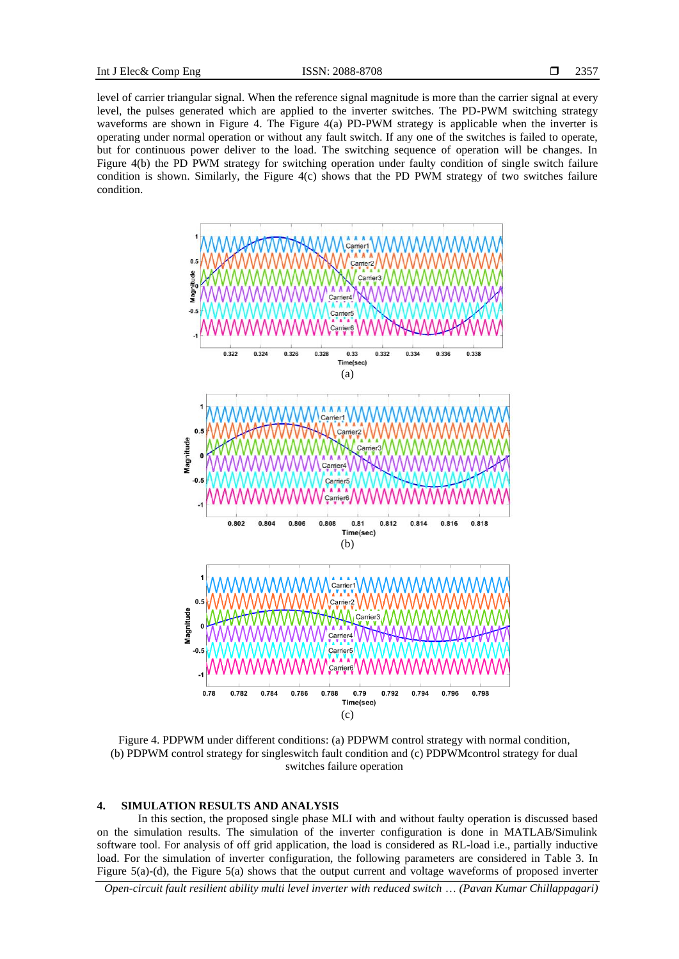level of carrier triangular signal. When the reference signal magnitude is more than the carrier signal at every level, the pulses generated which are applied to the inverter switches. The PD-PWM switching strategy waveforms are shown in Figure 4. The Figure 4(a) PD-PWM strategy is applicable when the inverter is operating under normal operation or without any fault switch. If any one of the switches is failed to operate, but for continuous power deliver to the load. The switching sequence of operation will be changes. In Figure 4(b) the PD PWM strategy for switching operation under faulty condition of single switch failure condition is shown. Similarly, the Figure 4(c) shows that the PD PWM strategy of two switches failure condition.



Figure 4. PDPWM under different conditions: (a) PDPWM control strategy with normal condition, (b) PDPWM control strategy for singleswitch fault condition and (c) PDPWMcontrol strategy for dual switches failure operation

#### **4. SIMULATION RESULTS AND ANALYSIS**

In this section, the proposed single phase MLI with and without faulty operation is discussed based on the simulation results. The simulation of the inverter configuration is done in MATLAB/Simulink software tool. For analysis of off grid application, the load is considered as RL-load i.e., partially inductive load. For the simulation of inverter configuration, the following parameters are considered in Table 3. In Figure 5(a)-(d), the Figure 5(a) shows that the output current and voltage waveforms of proposed inverter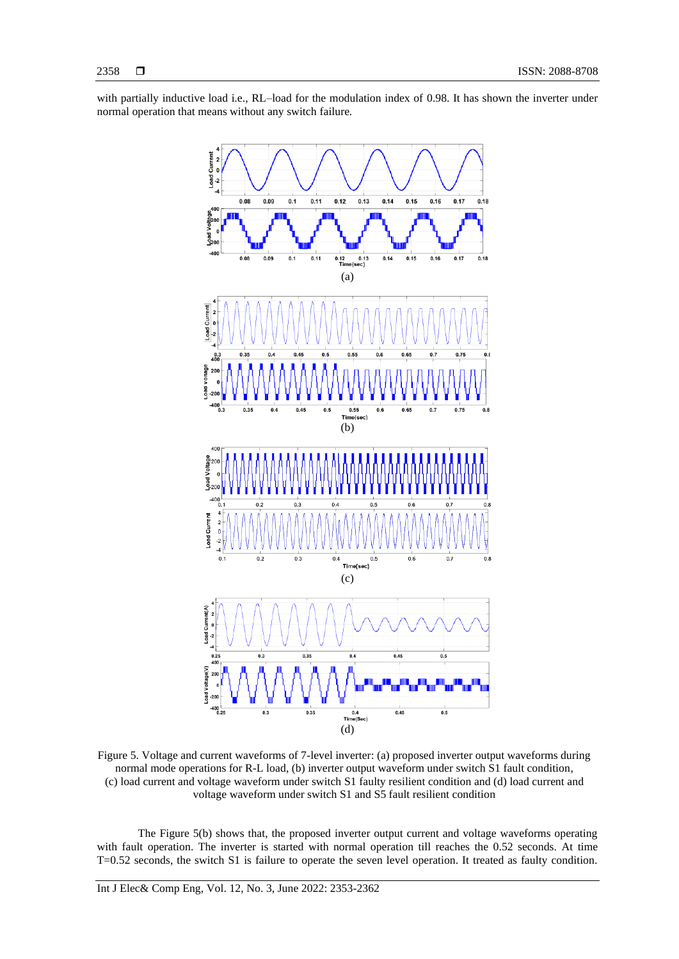with partially inductive load i.e., RL–load for the modulation index of 0.98. It has shown the inverter under normal operation that means without any switch failure.



Figure 5. Voltage and current waveforms of 7-level inverter: (a) proposed inverter output waveforms during normal mode operations for R-L load, (b) inverter output waveform under switch S1 fault condition, (c) load current and voltage waveform under switch S1 faulty resilient condition and (d) load current and voltage waveform under switch S1 and S5 fault resilient condition

The Figure 5(b) shows that, the proposed inverter output current and voltage waveforms operating with fault operation. The inverter is started with normal operation till reaches the 0.52 seconds. At time T=0.52 seconds, the switch S1 is failure to operate the seven level operation. It treated as faulty condition.

Int J Elec& Comp Eng, Vol. 12, No. 3, June 2022: 2353-2362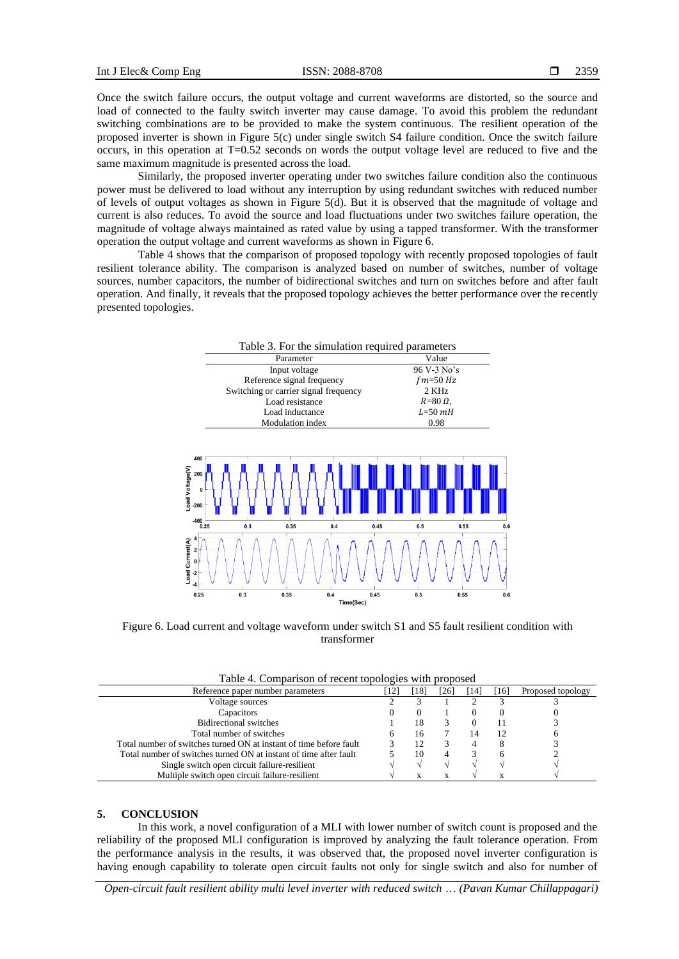Once the switch failure occurs, the output voltage and current waveforms are distorted, so the source and load of connected to the faulty switch inverter may cause damage. To avoid this problem the redundant switching combinations are to be provided to make the system continuous. The resilient operation of the proposed inverter is shown in Figure 5(c) under single switch S4 failure condition. Once the switch failure occurs, in this operation at T=0.52 seconds on words the output voltage level are reduced to five and the same maximum magnitude is presented across the load.

Similarly, the proposed inverter operating under two switches failure condition also the continuous power must be delivered to load without any interruption by using redundant switches with reduced number of levels of output voltages as shown in Figure 5(d). But it is observed that the magnitude of voltage and current is also reduces. To avoid the source and load fluctuations under two switches failure operation, the magnitude of voltage always maintained as rated value by using a tapped transformer. With the transformer operation the output voltage and current waveforms as shown in Figure 6.

Table 4 shows that the comparison of proposed topology with recently proposed topologies of fault resilient tolerance ability. The comparison is analyzed based on number of switches, number of voltage sources, number capacitors, the number of bidirectional switches and turn on switches before and after fault operation. And finally, it reveals that the proposed topology achieves the better performance over the recently presented topologies.





Figure 6. Load current and voltage waveform under switch S1 and S5 fault resilient condition with transformer

|  |  | Table 4. Comparison of recent topologies with proposed |
|--|--|--------------------------------------------------------|
|  |  |                                                        |

| -181 | [26] | [14] | [16] | Proposed topology |
|------|------|------|------|-------------------|
|      |      |      |      |                   |
|      |      |      | 0    |                   |
| 18   |      |      |      |                   |
| 16   |      | 14   | 12   |                   |
|      |      |      |      |                   |
|      |      |      |      |                   |
|      |      |      |      |                   |
|      |      |      |      |                   |
|      |      |      |      |                   |

#### **5. CONCLUSION**

In this work, a novel configuration of a MLI with lower number of switch count is proposed and the reliability of the proposed MLI configuration is improved by analyzing the fault tolerance operation. From the performance analysis in the results, it was observed that, the proposed novel inverter configuration is having enough capability to tolerate open circuit faults not only for single switch and also for number of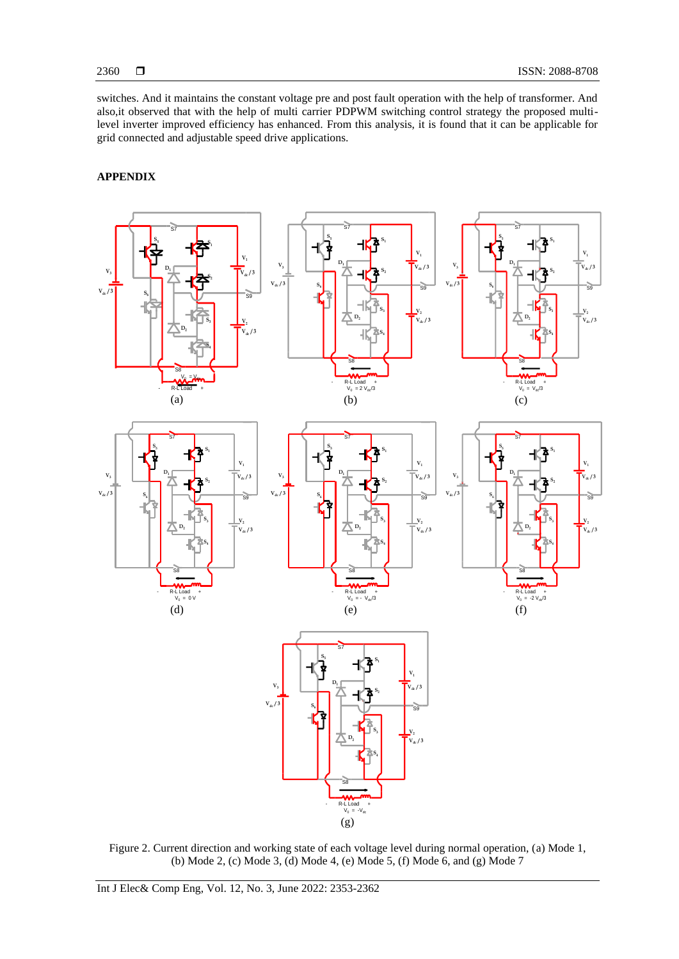switches. And it maintains the constant voltage pre and post fault operation with the help of transformer. And also,it observed that with the help of multi carrier PDPWM switching control strategy the proposed multilevel inverter improved efficiency has enhanced. From this analysis, it is found that it can be applicable for grid connected and adjustable speed drive applications.

## **APPENDIX**



Figure 2. Current direction and working state of each voltage level during normal operation, (a) Mode 1, (b) Mode 2, (c) Mode 3, (d) Mode 4, (e) Mode 5, (f) Mode 6, and (g) Mode 7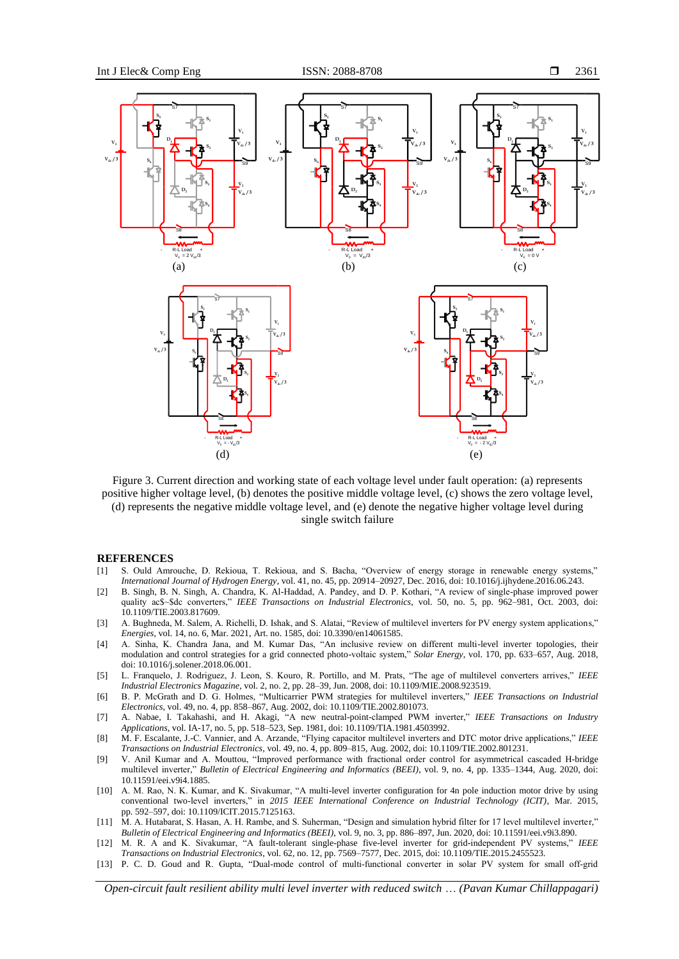

Figure 3. Current direction and working state of each voltage level under fault operation: (a) represents positive higher voltage level, (b) denotes the positive middle voltage level, (c) shows the zero voltage level, (d) represents the negative middle voltage level, and (e) denote the negative higher voltage level during single switch failure

#### **REFERENCES**

- [1] S. Ould Amrouche, D. Rekioua, T. Rekioua, and S. Bacha, "Overview of energy storage in renewable energy systems," *International Journal of Hydrogen Energy*, vol. 41, no. 45, pp. 20914–20927, Dec. 2016, doi: 10.1016/j.ijhydene.2016.06.243.
- [2] B. Singh, B. N. Singh, A. Chandra, K. Al-Haddad, A. Pandey, and D. P. Kothari, "A review of single-phase improved power quality ac\$~\$dc converters," *IEEE Transactions on Industrial Electronics*, vol. 50, no. 5, pp. 962–981, Oct. 2003, doi: 10.1109/TIE.2003.817609.
- [3] A. Bughneda, M. Salem, A. Richelli, D. Ishak, and S. Alatai, "Review of multilevel inverters for PV energy system applications," *Energies*, vol. 14, no. 6, Mar. 2021, Art. no. 1585, doi: 10.3390/en14061585.
- [4] A. Sinha, K. Chandra Jana, and M. Kumar Das, "An inclusive review on different multi-level inverter topologies, their modulation and control strategies for a grid connected photo-voltaic system," *Solar Energy*, vol. 170, pp. 633–657, Aug. 2018, doi: 10.1016/j.solener.2018.06.001.
- [5] L. Franquelo, J. Rodriguez, J. Leon, S. Kouro, R. Portillo, and M. Prats, "The age of multilevel converters arrives," *IEEE Industrial Electronics Magazine*, vol. 2, no. 2, pp. 28–39, Jun. 2008, doi: 10.1109/MIE.2008.923519.
- [6] B. P. McGrath and D. G. Holmes, "Multicarrier PWM strategies for multilevel inverters," *IEEE Transactions on Industrial Electronics*, vol. 49, no. 4, pp. 858–867, Aug. 2002, doi: 10.1109/TIE.2002.801073.
- [7] A. Nabae, I. Takahashi, and H. Akagi, "A new neutral-point-clamped PWM inverter," *IEEE Transactions on Industry Applications*, vol. IA-17, no. 5, pp. 518–523, Sep. 1981, doi: 10.1109/TIA.1981.4503992.
- [8] M. F. Escalante, J.-C. Vannier, and A. Arzande, "Flying capacitor multilevel inverters and DTC motor drive applications," *IEEE Transactions on Industrial Electronics*, vol. 49, no. 4, pp. 809–815, Aug. 2002, doi: 10.1109/TIE.2002.801231.
- [9] V. Anil Kumar and A. Mouttou, "Improved performance with fractional order control for asymmetrical cascaded H-bridge multilevel inverter," *Bulletin of Electrical Engineering and Informatics (BEEI)*, vol. 9, no. 4, pp. 1335–1344, Aug. 2020, doi: 10.11591/eei.v9i4.1885.
- [10] A. M. Rao, N. K. Kumar, and K. Sivakumar, "A multi-level inverter configuration for 4n pole induction motor drive by using conventional two-level inverters," in *2015 IEEE International Conference on Industrial Technology (ICIT)*, Mar. 2015, pp. 592–597, doi: 10.1109/ICIT.2015.7125163.
- [11] M. A. Hutabarat, S. Hasan, A. H. Rambe, and S. Suherman, "Design and simulation hybrid filter for 17 level multilevel inverter," *Bulletin of Electrical Engineering and Informatics (BEEI)*, vol. 9, no. 3, pp. 886–897, Jun. 2020, doi: 10.11591/eei.v9i3.890.
- [12] M. R. A and K. Sivakumar, "A fault-tolerant single-phase five-level inverter for grid-independent PV systems," *IEEE Transactions on Industrial Electronics*, vol. 62, no. 12, pp. 7569–7577, Dec. 2015, doi: 10.1109/TIE.2015.2455523.
- [13] P. C. D. Goud and R. Gupta, "Dual-mode control of multi-functional converter in solar PV system for small off-grid